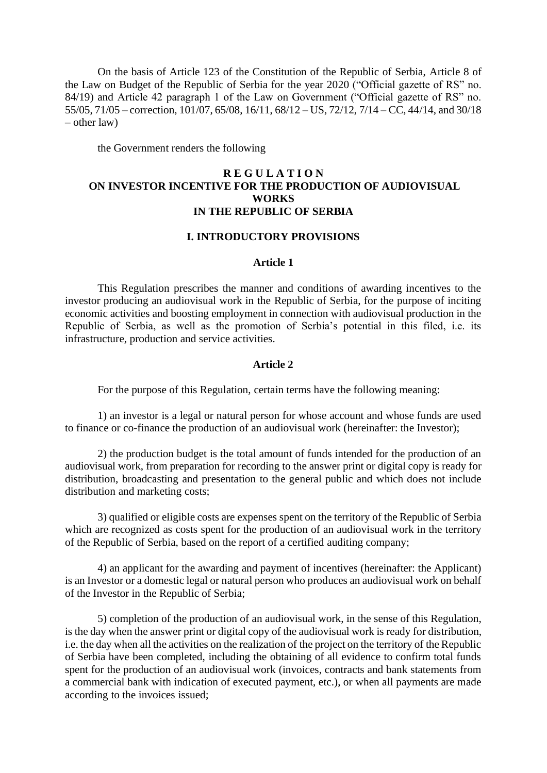On the basis of Article 123 of the Constitution of the Republic of Serbia, Article 8 of the Law on Budget of the Republic of Serbia for the year 2020 ("Official gazette of RS" no. 84/19) and Article 42 paragraph 1 of the Law on Government ("Official gazette of RS" no. 55/05, 71/05 – correction, 101/07, 65/08, 16/11, 68/12 – US, 72/12, 7/14 – CC, 44/14, and 30/18 – other law)

the Government renders the following

# **R E G U L A T I O N ON INVESTOR INCENTIVE FOR THE PRODUCTION OF AUDIOVISUAL WORKS IN THE REPUBLIC OF SERBIA**

#### **I. INTRODUCTORY PROVISIONS**

#### **Article 1**

This Regulation prescribes the manner and conditions of awarding incentives to the investor producing an audiovisual work in the Republic of Serbia, for the purpose of inciting economic activities and boosting employment in connection with audiovisual production in the Republic of Serbia, as well as the promotion of Serbia's potential in this filed, i.e. its infrastructure, production and service activities.

#### **Article 2**

For the purpose of this Regulation, certain terms have the following meaning:

1) an investor is a legal or natural person for whose account and whose funds are used to finance or co-finance the production of an audiovisual work (hereinafter: the Investor);

2) the production budget is the total amount of funds intended for the production of an audiovisual work, from preparation for recording to the answer print or digital copy is ready for distribution, broadcasting and presentation to the general public and which does not include distribution and marketing costs;

3) qualified or eligible costs are expenses spent on the territory of the Republic of Serbia which are recognized as costs spent for the production of an audiovisual work in the territory of the Republic of Serbia, based on the report of a certified auditing company;

4) an applicant for the awarding and payment of incentives (hereinafter: the Applicant) is an Investor or a domestic legal or natural person who produces an audiovisual work on behalf of the Investor in the Republic of Serbia;

5) completion of the production of an audiovisual work, in the sense of this Regulation, is the day when the answer print or digital copy of the audiovisual work is ready for distribution, i.e. the day when all the activities on the realization of the project on the territory of the Republic of Serbia have been completed, including the obtaining of all evidence to confirm total funds spent for the production of an audiovisual work (invoices, contracts and bank statements from a commercial bank with indication of executed payment, etc.), or when all payments are made according to the invoices issued;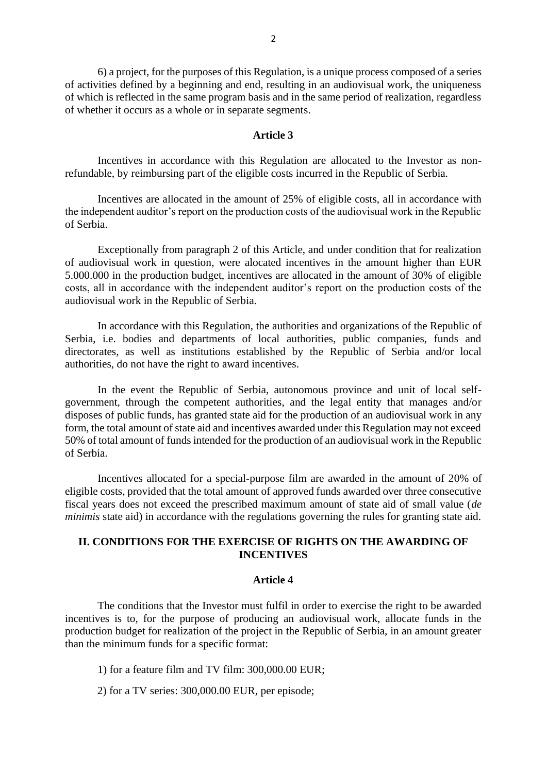6) a project, for the purposes of this Regulation, is a unique process composed of a series of activities defined by a beginning and end, resulting in an audiovisual work, the uniqueness of which is reflected in the same program basis and in the same period of realization, regardless of whether it occurs as a whole or in separate segments.

#### **Article 3**

Incentives in accordance with this Regulation are allocated to the Investor as nonrefundable, by reimbursing part of the eligible costs incurred in the Republic of Serbia.

Incentives are allocated in the amount of 25% of eligible costs, all in accordance with the independent auditor's report on the production costs of the audiovisual work in the Republic of Serbia.

Exceptionally from paragraph 2 of this Article, and under condition that for realization of audiovisual work in question, were alocated incentives in the amount higher than EUR 5.000.000 in the production budget, incentives are allocated in the amount of 30% of eligible costs, all in accordance with the independent auditor's report on the production costs of the audiovisual work in the Republic of Serbia.

In accordance with this Regulation, the authorities and organizations of the Republic of Serbia, i.e. bodies and departments of local authorities, public companies, funds and directorates, as well as institutions established by the Republic of Serbia and/or local authorities, do not have the right to award incentives.

In the event the Republic of Serbia, autonomous province and unit of local selfgovernment, through the competent authorities, and the legal entity that manages and/or disposes of public funds, has granted state aid for the production of an audiovisual work in any form, the total amount of state aid and incentives awarded under this Regulation may not exceed 50% of total amount of funds intended for the production of an audiovisual work in the Republic of Serbia.

Incentives allocated for a special-purpose film are awarded in the amount of 20% of eligible costs, provided that the total amount of approved funds awarded over three consecutive fiscal years does not exceed the prescribed maximum amount of state aid of small value (*de minimis* state aid) in accordance with the regulations governing the rules for granting state aid.

# **II. CONDITIONS FOR THE EXERCISE OF RIGHTS ON THE AWARDING OF INCENTIVES**

#### **Article 4**

The conditions that the Investor must fulfil in order to exercise the right to be awarded incentives is to, for the purpose of producing an audiovisual work, allocate funds in the production budget for realization of the project in the Republic of Serbia, in an amount greater than the minimum funds for a specific format:

- 1) for a feature film and TV film: 300,000.00 EUR;
- 2) for a TV series: 300,000.00 EUR, per episode;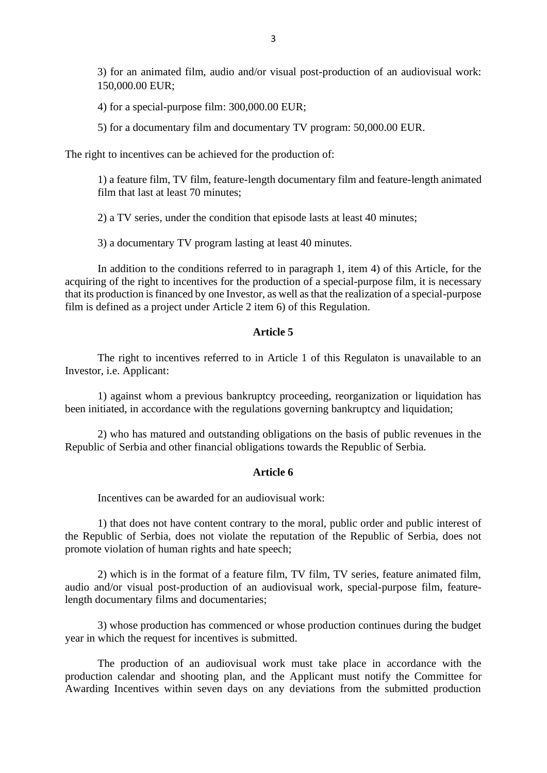3) for an animated film, audio and/or visual post-production of an audiovisual work: 150,000.00 EUR;

4) for a special-purpose film: 300,000.00 EUR;

5) for a documentary film and documentary TV program: 50,000.00 EUR.

The right to incentives can be achieved for the production of:

1) a feature film, TV film, feature-length documentary film and feature-length animated film that last at least 70 minutes;

2) a TV series, under the condition that episode lasts at least 40 minutes;

3) a documentary TV program lasting at least 40 minutes.

In addition to the conditions referred to in paragraph 1, item 4) of this Article, for the acquiring of the right to incentives for the production of a special-purpose film, it is necessary that its production is financed by one Investor, as well as that the realization of a special-purpose film is defined as a project under Article 2 item 6) of this Regulation.

## **Article 5**

The right to incentives referred to in Article 1 of this Regulaton is unavailable to an Investor, i.e. Applicant:

1) against whom a previous bankruptcy proceeding, reorganization or liquidation has been initiated, in accordance with the regulations governing bankruptcy and liquidation;

2) who has matured and outstanding obligations on the basis of public revenues in the Republic of Serbia and other financial obligations towards the Republic of Serbia.

#### **Article 6**

Incentives can be awarded for an audiovisual work:

1) that does not have content contrary to the moral, public order and public interest of the Republic of Serbia, does not violate the reputation of the Republic of Serbia, does not promote violation of human rights and hate speech;

2) which is in the format of a feature film, TV film, TV series, feature animated film, audio and/or visual post-production of an audiovisual work, special-purpose film, featurelength documentary films and documentaries;

3) whose production has commenced or whose production continues during the budget year in which the request for incentives is submitted.

The production of an audiovisual work must take place in accordance with the production calendar and shooting plan, and the Applicant must notify the Committee for Awarding Incentives within seven days on any deviations from the submitted production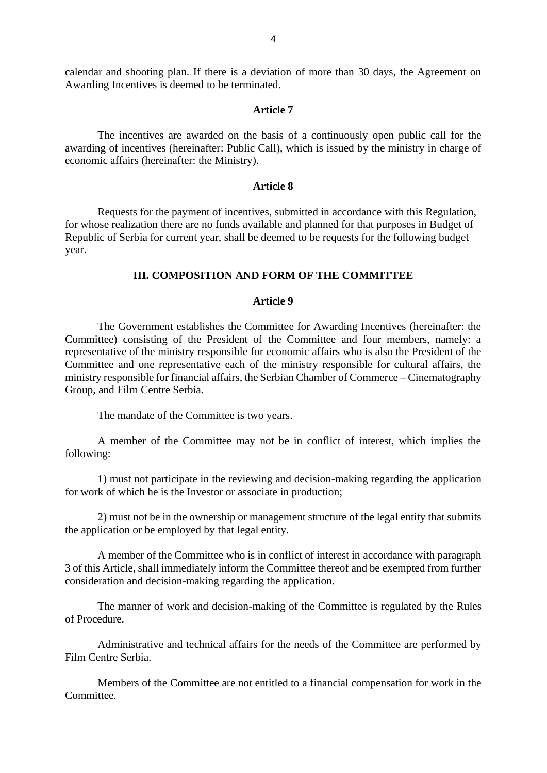calendar and shooting plan. If there is a deviation of more than 30 days, the Agreement on Awarding Incentives is deemed to be terminated.

## **Article 7**

The incentives are awarded on the basis of a continuously open public call for the awarding of incentives (hereinafter: Public Call), which is issued by the ministry in charge of economic affairs (hereinafter: the Ministry).

## **Article 8**

Requests for the payment of incentives, submitted in accordance with this Regulation, for whose realization there are no funds available and planned for that purposes in Budget of Republic of Serbia for current year, shall be deemed to be requests for the following budget year.

## **III. COMPOSITION AND FORM OF THE COMMITTEE**

# **Article 9**

The Government establishes the Committee for Awarding Incentives (hereinafter: the Committee) consisting of the President of the Committee and four members, namely: a representative of the ministry responsible for economic affairs who is also the President of the Committee and one representative each of the ministry responsible for cultural affairs, the ministry responsible for financial affairs, the Serbian Chamber of Commerce – Cinematography Group, and Film Centre Serbia.

The mandate of the Committee is two years.

A member of the Committee may not be in conflict of interest, which implies the following:

1) must not participate in the reviewing and decision-making regarding the application for work of which he is the Investor or associate in production;

2) must not be in the ownership or management structure of the legal entity that submits the application or be employed by that legal entity.

A member of the Committee who is in conflict of interest in accordance with paragraph 3 of this Article, shall immediately inform the Committee thereof and be exempted from further consideration and decision-making regarding the application.

The manner of work and decision-making of the Committee is regulated by the Rules of Procedure.

Administrative and technical affairs for the needs of the Committee are performed by Film Centre Serbia.

Members of the Committee are not entitled to a financial compensation for work in the Committee.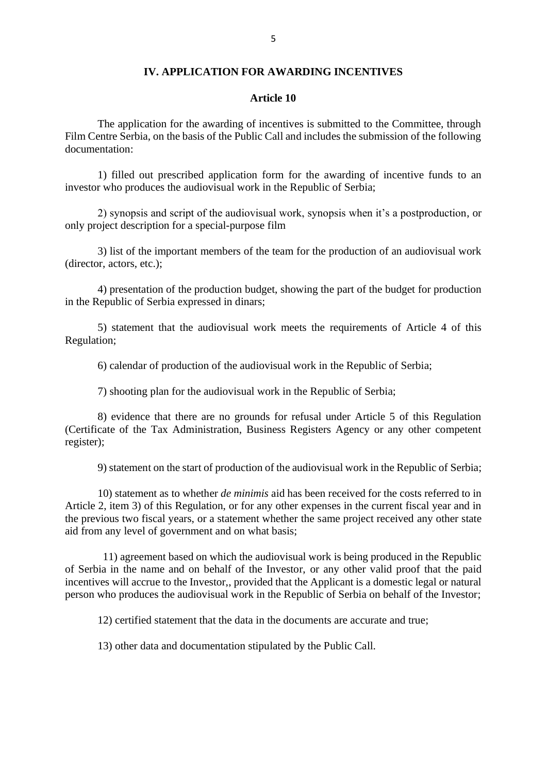#### **IV. APPLICATION FOR AWARDING INCENTIVES**

#### **Article 10**

The application for the awarding of incentives is submitted to the Committee, through Film Centre Serbia, on the basis of the Public Call and includes the submission of the following documentation:

1) filled out prescribed application form for the awarding of incentive funds to an investor who produces the audiovisual work in the Republic of Serbia;

2) synopsis and script of the audiovisual work, synopsis when it's a postproduction, or only project description for a special-purpose film

3) list of the important members of the team for the production of an audiovisual work (director, actors, etc.);

4) presentation of the production budget, showing the part of the budget for production in the Republic of Serbia expressed in dinars;

5) statement that the audiovisual work meets the requirements of Article 4 of this Regulation;

6) calendar of production of the audiovisual work in the Republic of Serbia;

7) shooting plan for the audiovisual work in the Republic of Serbia;

8) evidence that there are no grounds for refusal under Article 5 of this Regulation (Certificate of the Tax Administration, Business Registers Agency or any other competent register);

9) statement on the start of production of the audiovisual work in the Republic of Serbia;

10) statement as to whether *de minimis* aid has been received for the costs referred to in Article 2, item 3) of this Regulation, or for any other expenses in the current fiscal year and in the previous two fiscal years, or a statement whether the same project received any other state aid from any level of government and on what basis;

11) agreement based on which the audiovisual work is being produced in the Republic of Serbia in the name and on behalf of the Investor, or any other valid proof that the paid incentives will accrue to the Investor,, provided that the Applicant is a domestic legal or natural person who produces the audiovisual work in the Republic of Serbia on behalf of the Investor;

12) certified statement that the data in the documents are accurate and true;

13) other data and documentation stipulated by the Public Call.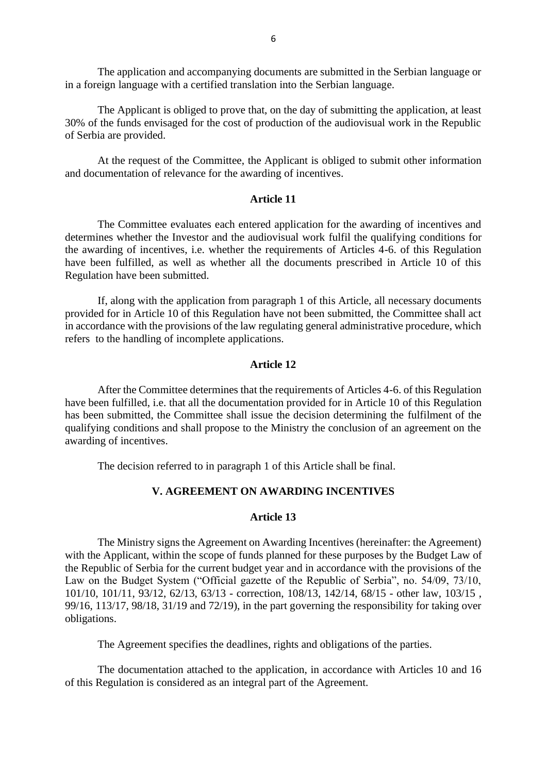The application and accompanying documents are submitted in the Serbian language or in a foreign language with a certified translation into the Serbian language.

The Applicant is obliged to prove that, on the day of submitting the application, at least 30% of the funds envisaged for the cost of production of the audiovisual work in the Republic of Serbia are provided.

At the request of the Committee, the Applicant is obliged to submit other information and documentation of relevance for the awarding of incentives.

# **Article 11**

The Committee evaluates each entered application for the awarding of incentives and determines whether the Investor and the audiovisual work fulfil the qualifying conditions for the awarding of incentives, i.e. whether the requirements of Articles 4-6. of this Regulation have been fulfilled, as well as whether all the documents prescribed in Article 10 of this Regulation have been submitted.

If, along with the application from paragraph 1 of this Article, all necessary documents provided for in Article 10 of this Regulation have not been submitted, the Committee shall act in accordance with the provisions of the law regulating general administrative procedure, which refers to the handling of incomplete applications.

#### **Article 12**

After the Committee determines that the requirements of Articles 4-6. of this Regulation have been fulfilled, i.e. that all the documentation provided for in Article 10 of this Regulation has been submitted, the Committee shall issue the decision determining the fulfilment of the qualifying conditions and shall propose to the Ministry the conclusion of an agreement on the awarding of incentives.

The decision referred to in paragraph 1 of this Article shall be final.

# **V. AGREEMENT ON AWARDING INCENTIVES**

## **Article 13**

The Ministry signs the Agreement on Awarding Incentives (hereinafter: the Agreement) with the Applicant, within the scope of funds planned for these purposes by the Budget Law of the Republic of Serbia for the current budget year and in accordance with the provisions of the Law on the Budget System ("Official gazette of the Republic of Serbia", no. 54/09, 73/10, 101/10, 101/11, 93/12, 62/13, 63/13 - correction, 108/13, 142/14, 68/15 - other law, 103/15 , 99/16, 113/17, 98/18, 31/19 and 72/19), in the part governing the responsibility for taking over obligations.

The Agreement specifies the deadlines, rights and obligations of the parties.

The documentation attached to the application, in accordance with Articles 10 and 16 of this Regulation is considered as an integral part of the Agreement.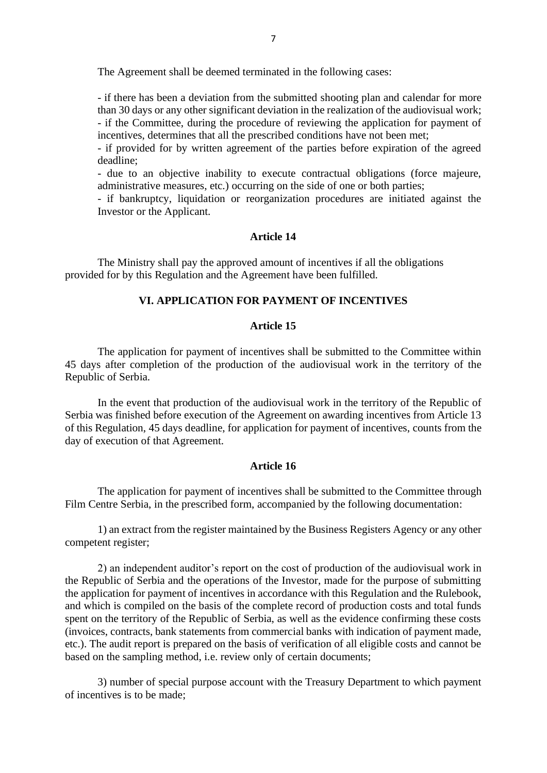The Agreement shall be deemed terminated in the following cases:

- if there has been a deviation from the submitted shooting plan and calendar for more than 30 days or any other significant deviation in the realization of the audiovisual work; - if the Committee, during the procedure of reviewing the application for payment of incentives, determines that all the prescribed conditions have not been met;

- if provided for by written agreement of the parties before expiration of the agreed deadline;

- due to an objective inability to execute contractual obligations (force majeure, administrative measures, etc.) occurring on the side of one or both parties;

- if bankruptcy, liquidation or reorganization procedures are initiated against the Investor or the Applicant.

#### **Article 14**

The Ministry shall pay the approved amount of incentives if all the obligations provided for by this Regulation and the Agreement have been fulfilled.

# **VI. APPLICATION FOR PAYMENT OF INCENTIVES**

# **Article 15**

The application for payment of incentives shall be submitted to the Committee within 45 days after completion of the production of the audiovisual work in the territory of the Republic of Serbia.

In the event that production of the audiovisual work in the territory of the Republic of Serbia was finished before execution of the Agreement on awarding incentives from Article 13 of this Regulation, 45 days deadline, for application for payment of incentives, counts from the day of execution of that Agreement.

#### **Article 16**

The application for payment of incentives shall be submitted to the Committee through Film Centre Serbia, in the prescribed form, accompanied by the following documentation:

1) an extract from the register maintained by the Business Registers Agency or any other competent register;

2) an independent auditor's report on the cost of production of the audiovisual work in the Republic of Serbia and the operations of the Investor, made for the purpose of submitting the application for payment of incentives in accordance with this Regulation and the Rulebook, and which is compiled on the basis of the complete record of production costs and total funds spent on the territory of the Republic of Serbia, as well as the evidence confirming these costs (invoices, contracts, bank statements from commercial banks with indication of payment made, etc.). The audit report is prepared on the basis of verification of all eligible costs and cannot be based on the sampling method, i.e. review only of certain documents;

3) number of special purpose account with the Treasury Department to which payment of incentives is to be made;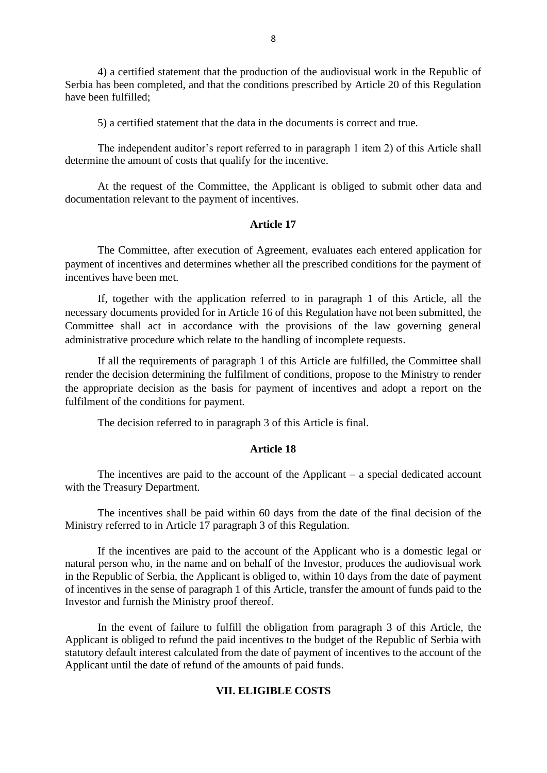4) a certified statement that the production of the audiovisual work in the Republic of Serbia has been completed, and that the conditions prescribed by Article 20 of this Regulation have been fulfilled;

5) a certified statement that the data in the documents is correct and true.

The independent auditor's report referred to in paragraph 1 item 2) of this Article shall determine the amount of costs that qualify for the incentive.

At the request of the Committee, the Applicant is obliged to submit other data and documentation relevant to the payment of incentives.

## **Article 17**

The Committee, after execution of Agreement, evaluates each entered application for payment of incentives and determines whether all the prescribed conditions for the payment of incentives have been met.

If, together with the application referred to in paragraph 1 of this Article, all the necessary documents provided for in Article 16 of this Regulation have not been submitted, the Committee shall act in accordance with the provisions of the law governing general administrative procedure which relate to the handling of incomplete requests.

If all the requirements of paragraph 1 of this Article are fulfilled, the Committee shall render the decision determining the fulfilment of conditions, propose to the Ministry to render the appropriate decision as the basis for payment of incentives and adopt a report on the fulfilment of the conditions for payment.

The decision referred to in paragraph 3 of this Article is final.

# **Article 18**

The incentives are paid to the account of the Applicant – a special dedicated account with the Treasury Department.

The incentives shall be paid within 60 days from the date of the final decision of the Ministry referred to in Article 17 paragraph 3 of this Regulation.

If the incentives are paid to the account of the Applicant who is a domestic legal or natural person who, in the name and on behalf of the Investor, produces the audiovisual work in the Republic of Serbia, the Applicant is obliged to, within 10 days from the date of payment of incentives in the sense of paragraph 1 of this Article, transfer the amount of funds paid to the Investor and furnish the Ministry proof thereof.

In the event of failure to fulfill the obligation from paragraph 3 of this Article, the Applicant is obliged to refund the paid incentives to the budget of the Republic of Serbia with statutory default interest calculated from the date of payment of incentives to the account of the Applicant until the date of refund of the amounts of paid funds.

# **VII. ELIGIBLE COSTS**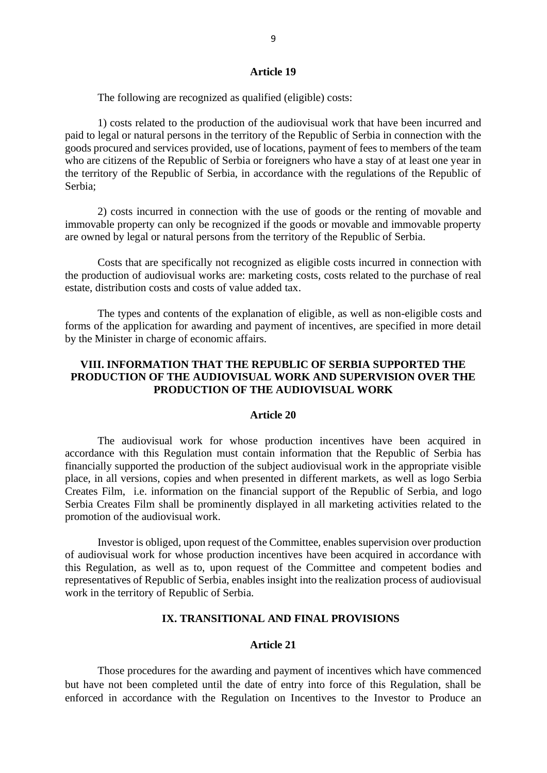#### **Article 19**

The following are recognized as qualified (eligible) costs:

1) costs related to the production of the audiovisual work that have been incurred and paid to legal or natural persons in the territory of the Republic of Serbia in connection with the goods procured and services provided, use of locations, payment of fees to members of the team who are citizens of the Republic of Serbia or foreigners who have a stay of at least one year in the territory of the Republic of Serbia, in accordance with the regulations of the Republic of Serbia;

2) costs incurred in connection with the use of goods or the renting of movable and immovable property can only be recognized if the goods or movable and immovable property are owned by legal or natural persons from the territory of the Republic of Serbia.

Costs that are specifically not recognized as eligible costs incurred in connection with the production of audiovisual works are: marketing costs, costs related to the purchase of real estate, distribution costs and costs of value added tax.

The types and contents of the explanation of eligible, as well as non-eligible costs and forms of the application for awarding and payment of incentives, are specified in more detail by the Minister in charge of economic affairs.

# **VIII. INFORMATION THAT THE REPUBLIC OF SERBIA SUPPORTED THE PRODUCTION OF THE AUDIOVISUAL WORK AND SUPERVISION OVER THE PRODUCTION OF THE AUDIOVISUAL WORK**

#### **Article 20**

The audiovisual work for whose production incentives have been acquired in accordance with this Regulation must contain information that the Republic of Serbia has financially supported the production of the subject audiovisual work in the appropriate visible place, in all versions, copies and when presented in different markets, as well as logo Serbia Creates Film, i.e. information on the financial support of the Republic of Serbia, and logo Serbia Creates Film shall be prominently displayed in all marketing activities related to the promotion of the audiovisual work.

Investor is obliged, upon request of the Committee, enables supervision over production of audiovisual work for whose production incentives have been acquired in accordance with this Regulation, as well as to, upon request of the Committee and competent bodies and representatives of Republic of Serbia, enables insight into the realization process of audiovisual work in the territory of Republic of Serbia.

## **IX. TRANSITIONAL AND FINAL PROVISIONS**

#### **Article 21**

Those procedures for the awarding and payment of incentives which have commenced but have not been completed until the date of entry into force of this Regulation, shall be enforced in accordance with the Regulation on Incentives to the Investor to Produce an